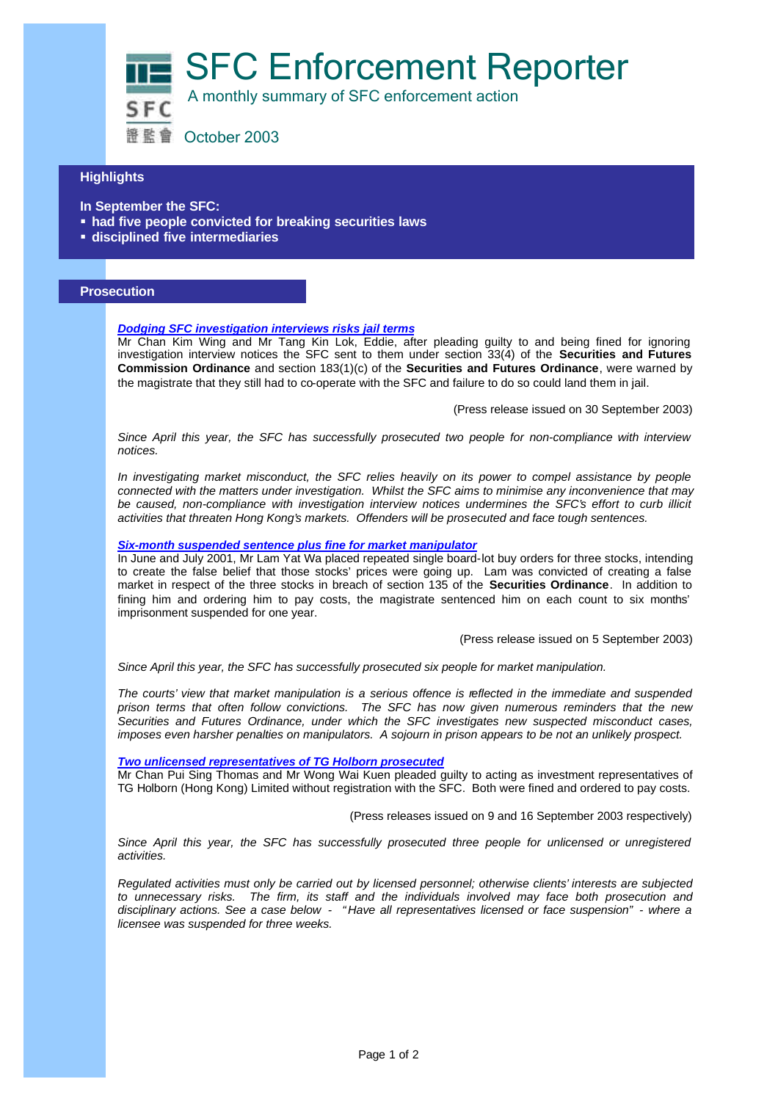SFC Enforcement Reporter

A monthly summary of SFC enforcement action

證監會 October 2003

## **Highlights**

- **In September the SFC:**
- **had five people convicted for breaking securities laws**
- ß **disciplined five intermediaries**

## **Prosecution**

## *Dodging SFC investigation interviews risks jail terms*

Mr Chan Kim Wing and Mr Tang Kin Lok, Eddie, after pleading guilty to and being fined for ignoring investigation interview notices the SFC sent to them under section 33(4) of the **Securities and Futures Commission Ordinance** and section 183(1)(c) of the **Securities and Futures Ordinance**, were warned by the magistrate that they still had to co-operate with the SFC and failure to do so could land them in jail.

(Press release issued on 30 September 2003)

*Since April this year, the SFC has successfully prosecuted two people for non-compliance with interview notices.*

*In investigating market misconduct, the SFC relies heavily on its power to compel assistance by people connected with the matters under investigation. Whilst the SFC aims to minimise any inconvenience that may be caused, non-compliance with investigation interview notices undermines the SFC's effort to curb illicit activities that threaten Hong Kong's markets. Offenders will be prosecuted and face tough sentences.*

#### *Six-month suspended sentence plus fine for market manipulator*

In June and July 2001, Mr Lam Yat Wa placed repeated single board-lot buy orders for three stocks, intending to create the false belief that those stocks' prices were going up. Lam was convicted of creating a false market in respect of the three stocks in breach of section 135 of the **Securities Ordinance**. In addition to fining him and ordering him to pay costs, the magistrate sentenced him on each count to six months' imprisonment suspended for one year.

(Press release issued on 5 September 2003)

*Since April this year, the SFC has successfully prosecuted six people for market manipulation.*

*The courts' view that market manipulation is a serious offence is reflected in the immediate and suspended prison terms that often follow convictions. The SFC has now given numerous reminders that the new Securities and Futures Ordinance, under which the SFC investigates new suspected misconduct cases, imposes even harsher penalties on manipulators. A sojourn in prison appears to be not an unlikely prospect.*

### *Two unlicensed representatives of TG Holborn prosecuted*

Mr Chan Pui Sing Thomas and Mr Wong Wai Kuen pleaded guilty to acting as investment representatives of TG Holborn (Hong Kong) Limited without registration with the SFC. Both were fined and ordered to pay costs.

(Press releases issued on 9 and 16 September 2003 respectively)

Since April this year, the SFC has successfully prosecuted three people for unlicensed or unregistered *activities.*

*Regulated activities must only be carried out by licensed personnel; otherwise clients' interests are subjected to unnecessary risks. The firm, its staff and the individuals involved may face both prosecution and disciplinary actions. See a case below - "Have all representatives licensed or face suspension" - where a licensee was suspended for three weeks.*